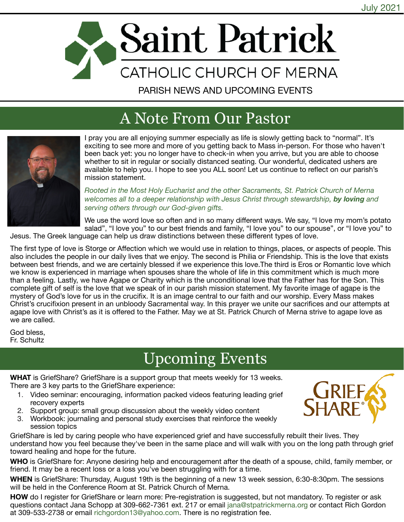

PARISH NEWS AND UPCOMING EVENTS

## A Note From Our Pastor



I pray you are all enjoying summer especially as life is slowly getting back to "normal". It's exciting to see more and more of you getting back to Mass in-person. For those who haven't been back yet: you no longer have to check-in when you arrive, but you are able to choose whether to sit in regular or socially distanced seating. Our wonderful, dedicated ushers are available to help you. I hope to see you ALL soon! Let us continue to reflect on our parish's mission statement.

*Rooted in the Most Holy Eucharist and the other Sacraments, St. Patrick Church of Merna*  welcomes all to a deeper relationship with Jesus Christ through stewardship, by loving and *serving others through our God-given gifts.*

We use the word love so often and in so many different ways. We say, "I love my mom's potato salad", "I love you" to our best friends and family, "I love you" to our spouse", or "I love you" to

Jesus. The Greek language can help us draw distinctions between these different types of love. The first type of love is Storge or Affection which we would use in relation to things, places, or aspects of people. This

also includes the people in our daily lives that we enjoy. The second is Philia or Friendship. This is the love that exists between best friends, and we are certainly blessed if we experience this love.The third is Eros or Romantic love which we know is experienced in marriage when spouses share the whole of life in this commitment which is much more than a feeling. Lastly, we have Agape or Charity which is the unconditional love that the Father has for the Son. This complete gift of self is the love that we speak of in our parish mission statement. My favorite image of agape is the mystery of God's love for us in the crucifix. It is an image central to our faith and our worship. Every Mass makes Christ's crucifixion present in an unbloody Sacramental way. In this prayer we unite our sacrifices and our attempts at agape love with Christ's as it is offered to the Father. May we at St. Patrick Church of Merna strive to agape love as we are called.

God bless, Fr. Schultz

# Upcoming Events

**WHAT** is GriefShare? GriefShare is a support group that meets weekly for 13 weeks. There are 3 key parts to the GriefShare experience:

- 1. Video seminar: encouraging, information packed videos featuring leading grief recovery experts
- 2. Support group: small group discussion about the weekly video content
- 3. Workbook: journaling and personal study exercises that reinforce the weekly session topics

GriefShare is led by caring people who have experienced grief and have successfully rebuilt their lives. They understand how you feel because they've been in the same place and will walk with you on the long path through grief toward healing and hope for the future.

**WHO** is GriefShare for: Anyone desiring help and encouragement after the death of a spouse, child, family member, or friend. It may be a recent loss or a loss you've been struggling with for a time.

**WHEN** is GriefShare: Thursday, August 19th is the beginning of a new 13 week session, 6:30-8:30pm. The sessions will be held in the Conference Room at St. Patrick Church of Merna.

**HOW** do I register for GriefShare or learn more: Pre-registration is suggested, but not mandatory. To register or ask questions contact Jana Schopp at 309-662-7361 ext. 217 or email [jana@stpatrickmerna.org](mailto:jana@stpatrickmerna.org) or contact Rich Gordon at 309-533-2738 or email [richgordon13@yahoo.com.](mailto:richgordon13@yahoo.com) There is no registration fee.